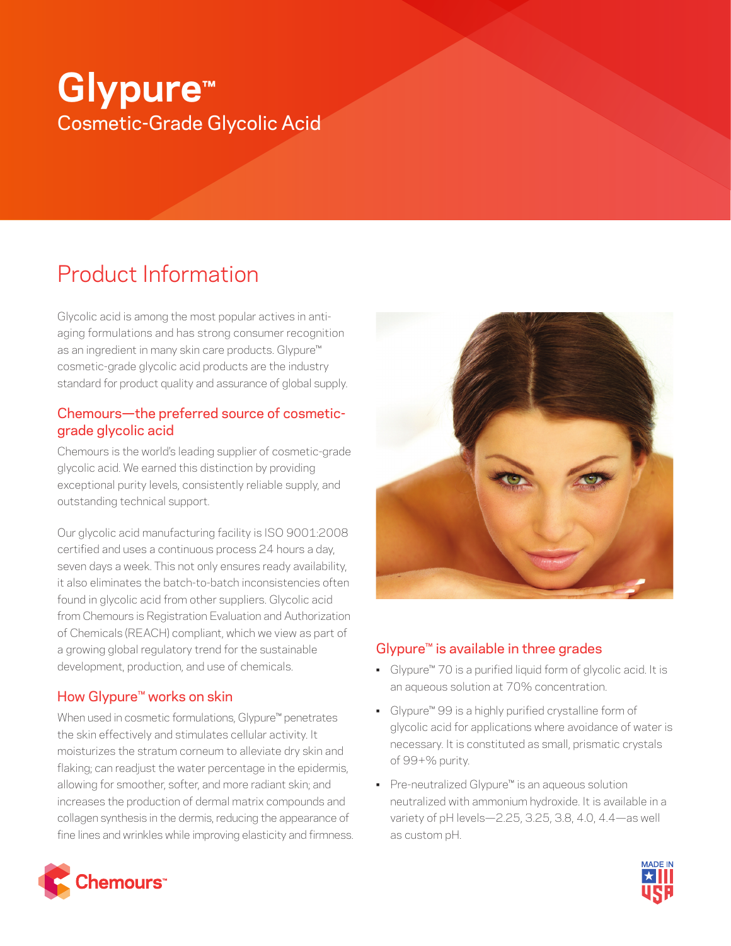# **Glypure™** Cosmetic-Grade Glycolic Acid

# Product Information

Glycolic acid is among the most popular actives in antiaging formulations and has strong consumer recognition as an ingredient in many skin care products. Glypure™ cosmetic-grade glycolic acid products are the industry standard for product quality and assurance of global supply.

# Chemours—the preferred source of cosmeticgrade glycolic acid

Chemours is the world's leading supplier of cosmetic-grade glycolic acid. We earned this distinction by providing exceptional purity levels, consistently reliable supply, and outstanding technical support.

Our glycolic acid manufacturing facility is ISO 9001:2008 certified and uses a continuous process 24 hours a day, seven days a week. This not only ensures ready availability, it also eliminates the batch-to-batch inconsistencies often found in glycolic acid from other suppliers. Glycolic acid from Chemours is Registration Evaluation and Authorization of Chemicals (REACH) compliant, which we view as part of a growing global regulatory trend for the sustainable development, production, and use of chemicals.

# How Glypure™ works on skin

When used in cosmetic formulations, Glypure™ penetrates the skin effectively and stimulates cellular activity. It moisturizes the stratum corneum to alleviate dry skin and flaking; can readjust the water percentage in the epidermis, allowing for smoother, softer, and more radiant skin; and increases the production of dermal matrix compounds and collagen synthesis in the dermis, reducing the appearance of fine lines and wrinkles while improving elasticity and firmness.



# Glypure™ is available in three grades

- Glypure™ 70 is a purified liquid form of glycolic acid. It is an aqueous solution at 70% concentration.
- Glypure™ 99 is a highly purified crystalline form of glycolic acid for applications where avoidance of water is necessary. It is constituted as small, prismatic crystals of 99+% purity.
- Pre-neutralized Glypure™ is an aqueous solution neutralized with ammonium hydroxide. It is available in a variety of pH levels—2.25, 3.25, 3.8, 4.0, 4.4—as well as custom pH.